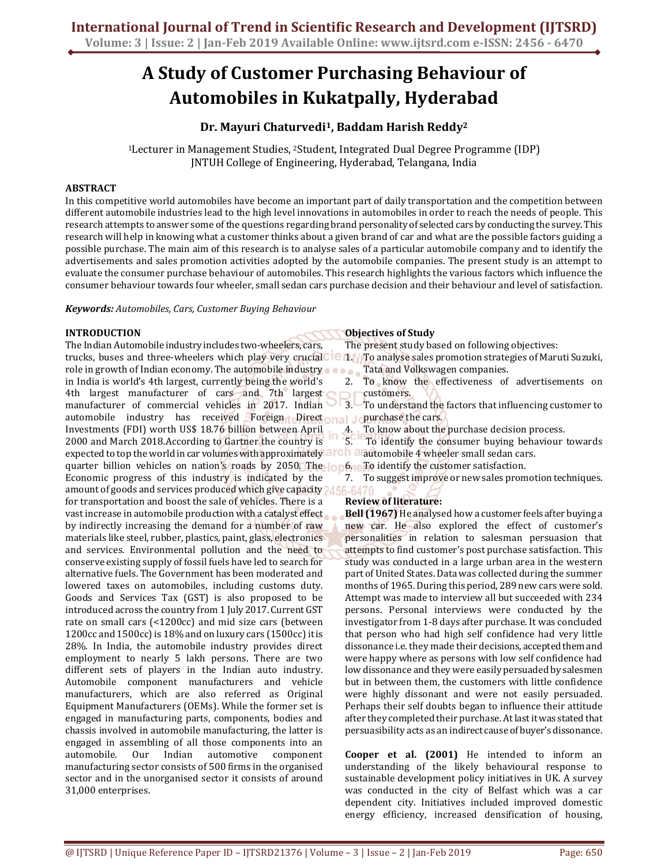# **A Study of Customer Purchasing Behaviour of Automobiles in Kukatpally, Hyderabad**

# **Dr. Mayuri Chaturvedi1, Baddam Harish Reddy<sup>2</sup>**

<sup>1</sup>Lecturer in Management Studies, 2Student, Integrated Dual Degree Programme (IDP) JNTUH College of Engineering, Hyderabad, Telangana, India

### **ABSTRACT**

In this competitive world automobiles have become an important part of daily transportation and the competition between different automobile industries lead to the high level innovations in automobiles in order to reach the needs of people. This research attempts to answer some of the questions regarding brand personality of selected cars by conducting the survey. This research will help in knowing what a customer thinks about a given brand of car and what are the possible factors guiding a possible purchase. The main aim of this research is to analyse sales of a particular automobile company and to identify the advertisements and sales promotion activities adopted by the automobile companies. The present study is an attempt to evaluate the consumer purchase behaviour of automobiles. This research highlights the various factors which influence the consumer behaviour towards four wheeler, small sedan cars purchase decision and their behaviour and level of satisfaction.

*Keywords: Automobiles, Cars, Customer Buying Behaviour* 

## **INTRODUCTION**

The Indian Automobile industry includes two-wheelers, cars, trucks, buses and three-wheelers which play very crucial **1.** To analyse sales promotion strategies of Maruti Suzuki, role in growth of Indian economy. The automobile industry in India is world's 4th largest, currently being the world's 4th largest manufacturer of cars and 7th largest manufacturer of commercial vehicles in 2017. Indian automobile industry has received Foreign Direct and Jourchase the cars. Investments (FDI) worth US\$ 18.76 billion between April 2000 and March 2018.According to Gartner the country is expected to top the world in car volumes with approximately  $\partial \mathbf{r}$  and  $\mathbf{r}$  and  $\mathbf{r}$  wheeler small sedan cars. quarter billion vehicles on nation's roads by 2050. The  $\log 6$  a To identify the customer satisfaction. Economic progress of this industry is indicated by the amount of goods and services produced which give capacity 2456-64 for transportation and boost the sale of vehicles. There is a vast increase in automobile production with a catalyst effect by indirectly increasing the demand for a number of raw materials like steel, rubber, plastics, paint, glass, electronics and services. Environmental pollution and the need to conserve existing supply of fossil fuels have led to search for alternative fuels. The Government has been moderated and lowered taxes on automobiles, including customs duty. Goods and Services Tax (GST) is also proposed to be introduced across the country from 1 July 2017. Current GST rate on small cars (<1200cc) and mid size cars (between 1200cc and 1500cc) is 18% and on luxury cars (1500cc) it is 28%. In India, the automobile industry provides direct employment to nearly 5 lakh persons. There are two different sets of players in the Indian auto industry. Automobile component manufacturers and vehicle manufacturers, which are also referred as Original Equipment Manufacturers (OEMs). While the former set is engaged in manufacturing parts, components, bodies and chassis involved in automobile manufacturing, the latter is engaged in assembling of all those components into an automobile. Our Indian automotive component manufacturing sector consists of 500 firms in the organised sector and in the unorganised sector it consists of around 31,000 enterprises.

## **Objectives of Study**

The present study based on following objectives:

Tata and Volkswagen companies.

2. To know the effectiveness of advertisements on customers.

- 3. To understand the factors that influencing customer to
	- To know about the purchase decision process.

5. To identify the consumer buying behaviour towards

7. To suggest improve or new sales promotion techniques.

## **Review of literature:**

**Bell (1967)** He analysed how a customer feels after buying a new car. He also explored the effect of customer's personalities in relation to salesman persuasion that attempts to find customer's post purchase satisfaction. This study was conducted in a large urban area in the western part of United States. Data was collected during the summer months of 1965. During this period, 289 new cars were sold. Attempt was made to interview all but succeeded with 234 persons. Personal interviews were conducted by the investigator from 1-8 days after purchase. It was concluded that person who had high self confidence had very little dissonance i.e. they made their decisions, accepted them and were happy where as persons with low self confidence had low dissonance and they were easily persuaded by salesmen but in between them, the customers with little confidence were highly dissonant and were not easily persuaded. Perhaps their self doubts began to influence their attitude after they completed their purchase. At last it was stated that persuasibility acts as an indirect cause of buyer's dissonance.

**Cooper et al. (2001)** He intended to inform an understanding of the likely behavioural response to sustainable development policy initiatives in UK. A survey was conducted in the city of Belfast which was a car dependent city. Initiatives included improved domestic energy efficiency, increased densification of housing,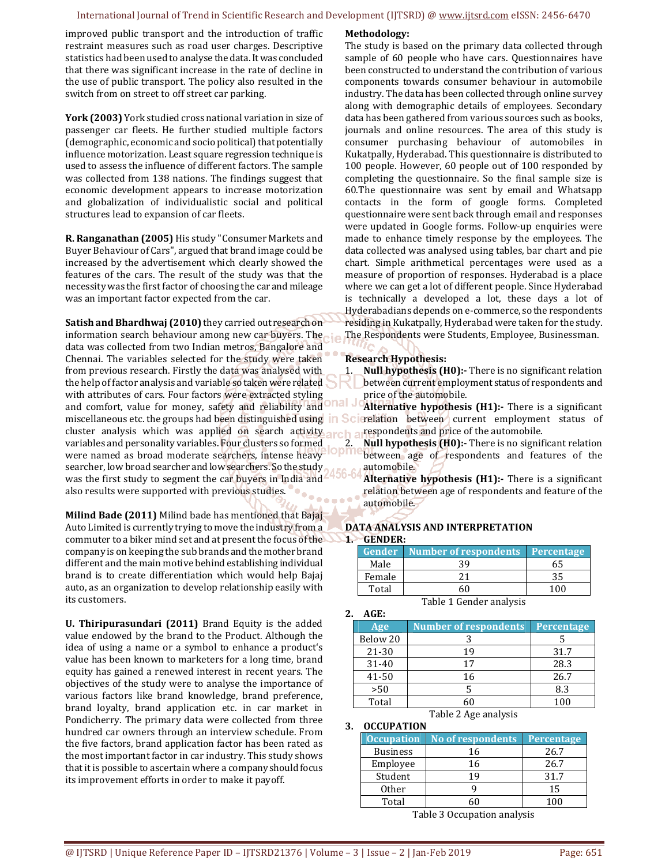improved public transport and the introduction of traffic restraint measures such as road user charges. Descriptive statistics had been used to analyse the data. It was concluded that there was significant increase in the rate of decline in the use of public transport. The policy also resulted in the switch from on street to off street car parking.

**York (2003)** York studied cross national variation in size of passenger car fleets. He further studied multiple factors (demographic, economic and socio political) that potentially influence motorization. Least square regression technique is used to assess the influence of different factors. The sample was collected from 138 nations. The findings suggest that economic development appears to increase motorization and globalization of individualistic social and political structures lead to expansion of car fleets.

**R. Ranganathan (2005)** His study "Consumer Markets and Buyer Behaviour of Cars", argued that brand image could be increased by the advertisement which clearly showed the features of the cars. The result of the study was that the necessity was the first factor of choosing the car and mileage was an important factor expected from the car.

**Satish and Bhardhwaj (2010)** they carried out research on information search behaviour among new car buyers. The data was collected from two Indian metros, Bangalore and Chennai. The variables selected for the study were taken from previous research. Firstly the data was analysed with the help of factor analysis and variable so taken were related with attributes of cars. Four factors were extracted styling and comfort, value for money, safety and reliability and miscellaneous etc. the groups had been distinguished using cluster analysis which was applied on search activity arch a variables and personality variables. Four clusters so formed were named as broad moderate searchers, intense heavy searcher, low broad searcher and low searchers. So the study was the first study to segment the car buyers in India and also results were supported with previous studies.

**Milind Bade (2011)** Milind bade has mentioned that Bajaj Auto Limited is currently trying to move the industry from a commuter to a biker mind set and at present the focus of the company is on keeping the sub brands and the mother brand different and the main motive behind establishing individual brand is to create differentiation which would help Bajaj auto, as an organization to develop relationship easily with its customers.

**U. Thiripurasundari (2011)** Brand Equity is the added value endowed by the brand to the Product. Although the idea of using a name or a symbol to enhance a product's value has been known to marketers for a long time, brand equity has gained a renewed interest in recent years. The objectives of the study were to analyse the importance of various factors like brand knowledge, brand preference, brand loyalty, brand application etc. in car market in Pondicherry. The primary data were collected from three hundred car owners through an interview schedule. From the five factors, brand application factor has been rated as the most important factor in car industry. This study shows that it is possible to ascertain where a company should focus its improvement efforts in order to make it payoff.

#### **Methodology:**

The study is based on the primary data collected through sample of 60 people who have cars. Questionnaires have been constructed to understand the contribution of various components towards consumer behaviour in automobile industry. The data has been collected through online survey along with demographic details of employees. Secondary data has been gathered from various sources such as books, journals and online resources. The area of this study is consumer purchasing behaviour of automobiles in Kukatpally, Hyderabad. This questionnaire is distributed to 100 people. However, 60 people out of 100 responded by completing the questionnaire. So the final sample size is 60.The questionnaire was sent by email and Whatsapp contacts in the form of google forms. Completed questionnaire were sent back through email and responses were updated in Google forms. Follow-up enquiries were made to enhance timely response by the employees. The data collected was analysed using tables, bar chart and pie chart. Simple arithmetical percentages were used as a measure of proportion of responses. Hyderabad is a place where we can get a lot of different people. Since Hyderabad is technically a developed a lot, these days a lot of Hyderabadians depends on e-commerce, so the respondents residing in Kukatpally, Hyderabad were taken for the study. The Respondents were Students, Employee, Businessman.

### **Research Hypothesis:**

1. **Null hypothesis (H0):-** There is no significant relation between current employment status of respondents and price of the automobile.

**Alternative hypothesis (H1):-** There is a significant Scierelation between current employment status of respondents and price of the automobile.

2. **Null hypothesis (H0):-** There is no significant relation opments and features of the between age of respondents and features of the automobile.

> **Alternative hypothesis (H1):-** There is a significant relation between age of respondents and feature of the automobile.

#### **DATA ANALYSIS AND INTERPRETATION 1. GENDER:**

|                         | <b>Gender</b> Number of respondents Percentage |    |  |  |  |
|-------------------------|------------------------------------------------|----|--|--|--|
| Male                    | 39                                             |    |  |  |  |
| Female                  | 21                                             | 35 |  |  |  |
| Total                   | 60                                             |    |  |  |  |
| Table 1 Gender analysis |                                                |    |  |  |  |

**2. AGE:** 

| Age       | <b>Number of respondents</b> | <b>Percentage</b> |
|-----------|------------------------------|-------------------|
| Below 20  |                              |                   |
| 21-30     | 19                           | 31.7              |
| $31 - 40$ | 17                           | 28.3              |
| 41-50     | 16                           | 26.7              |
| >50       |                              | 8.3               |
| Total     |                              | 100               |

Table 2 Age analysis

#### **3. OCCUPATION**

| <b>Occupation</b> | No of respondents   Percentage |      |
|-------------------|--------------------------------|------|
| <b>Business</b>   | 16                             | 26.7 |
| Employee          | 16                             | 26.7 |
| Student           | 19                             | 31.7 |
| <b>Other</b>      |                                | 15   |
| Total             |                                | 100  |

Table 3 Occupation analysis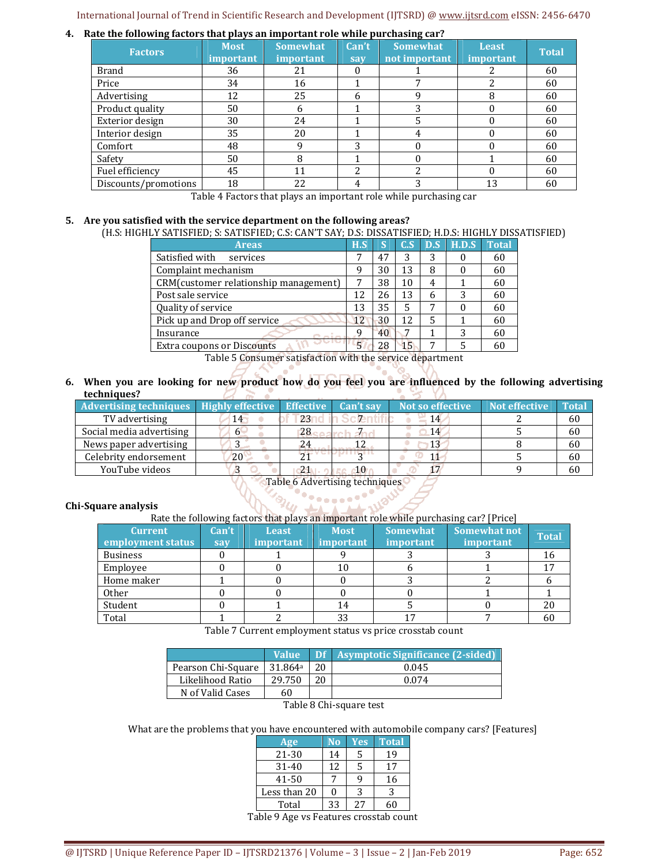#### **4. Rate the following factors that plays an important role while purchasing car?**

| <b>Factors</b>       | <b>Most</b><br><i>important</i> | <b>Somewhat</b><br><i>important</i> | Can't<br>say | <b>Somewhat</b><br>not important | <b>Least</b><br>important | <b>Total</b> |
|----------------------|---------------------------------|-------------------------------------|--------------|----------------------------------|---------------------------|--------------|
| <b>Brand</b>         | 36                              | 21                                  |              |                                  |                           | 60           |
| Price                | 34                              | 16                                  |              |                                  | າ                         | 60           |
| Advertising          | 12                              | 25                                  | h            |                                  | 8                         | 60           |
| Product quality      | 50                              | <sub>6</sub>                        |              | 3                                |                           | 60           |
| Exterior design      | 30                              | 24                                  |              |                                  | 0                         | 60           |
| Interior design      | 35                              | 20                                  |              |                                  | 0                         | 60           |
| Comfort              | 48                              | 9                                   | 3            | $\theta$                         |                           | 60           |
| Safety               | 50                              | 8                                   |              | 0                                |                           | 60           |
| Fuel efficiency      | 45                              | 11                                  | າ            | າ                                |                           | 60           |
| Discounts/promotions | 18                              | 22                                  | 4            | 3                                | 13                        | 60           |

Table 4 Factors that plays an important role while purchasing car

#### **5. Are you satisfied with the service department on the following areas?**

(H.S: HIGHLY SATISFIED; S: SATISFIED; C.S: CAN'T SAY; D.S: DISSATISFIED; H.D.S: HIGHLY DISSATISFIED)

| <b>Areas</b>                           | H.S  | IS. | C.S | D.S | H.D.S | <b>Total</b> |
|----------------------------------------|------|-----|-----|-----|-------|--------------|
| Satisfied with<br>services             | 7    | 47  | 3   | 3   |       | 60           |
| Complaint mechanism                    | q    | 30  | 13  | 8   |       | 60           |
| CRM (customer relationship management) | 7    | 38  | 10  | 4   |       | 60           |
| Post sale service                      |      | 26  | 13  | 6   | 3     | 60           |
| Quality of service                     |      | 35  | 5   | 7   |       | 60           |
| Pick up and Drop off service           |      | 30  | 12  | 5   |       | 60           |
| Insurance                              |      | 40  | 7   |     | 3     | 60           |
| <b>Extra coupons or Discounts</b>      | $-5$ | 28  | 15  | 7   |       |              |

Table 5 Consumer satisfaction with the service department

**6. When you are looking for new product how do you feel you are influenced by the following advertising techniques?**  -2 a. УX. a la

| <b>Advertising techniques</b> Highly effective Effective |    |      | Can't say | Not so effective | <b>Not effective</b> | Total |
|----------------------------------------------------------|----|------|-----------|------------------|----------------------|-------|
| TV advertising                                           | 14 | 23   |           | 14               |                      | 60    |
| Social media advertising                                 |    | 28   |           | 14               |                      | 60    |
| News paper advertising                                   |    |      |           |                  |                      | 60    |
| Celebrity endorsement                                    | 20 |      |           |                  |                      | 60    |
| YouTube videos                                           |    | -Z 1 | 10        |                  |                      | 60    |

Table 6 Advertising techniques

#### **Chi-Square analysis**

#### Rate the following factors that plays an important role while purchasing car? [Price]

| <b>Current</b><br>employment status | Can't<br>say | <b>Least</b><br>important | <b>Most</b><br><i>important</i> | <b>Somewhat</b><br><i>important</i> | Somewhat not<br><i>important</i> | <b>Total</b> |
|-------------------------------------|--------------|---------------------------|---------------------------------|-------------------------------------|----------------------------------|--------------|
| <b>Business</b>                     |              |                           |                                 |                                     |                                  |              |
| Employee                            |              |                           | 10                              |                                     |                                  |              |
| Home maker                          |              |                           |                                 |                                     |                                  |              |
| Other                               |              |                           |                                 |                                     |                                  |              |
| Student                             |              |                           | 14                              |                                     |                                  | 20           |
| Total                               |              |                           | 33                              |                                     |                                  |              |

Table 7 Current employment status vs price crosstab count

|                    | <b>Value</b>        |    | Df   Asymptotic Significance (2-sided) |
|--------------------|---------------------|----|----------------------------------------|
| Pearson Chi-Square | 31.864 <sup>a</sup> | 20 | 0.045                                  |
| Likelihood Ratio   | 29.750              | 20 | 0.074                                  |
| N of Valid Cases   | 60                  |    |                                        |

Table 8 Chi-square test

What are the problems that you have encountered with automobile company cars? [Features]

| Age          | No | Yes | <b>Total</b> |  |  |  |
|--------------|----|-----|--------------|--|--|--|
| 21-30        | 14 | 5   | 19           |  |  |  |
| $31 - 40$    | 12 | 5   | 17           |  |  |  |
| 41-50        |    |     | 16           |  |  |  |
| Less than 20 |    | ર   | 3            |  |  |  |
| Total        | 33 | 2.7 | 50           |  |  |  |
|              |    |     |              |  |  |  |

Table 9 Age vs Features crosstab count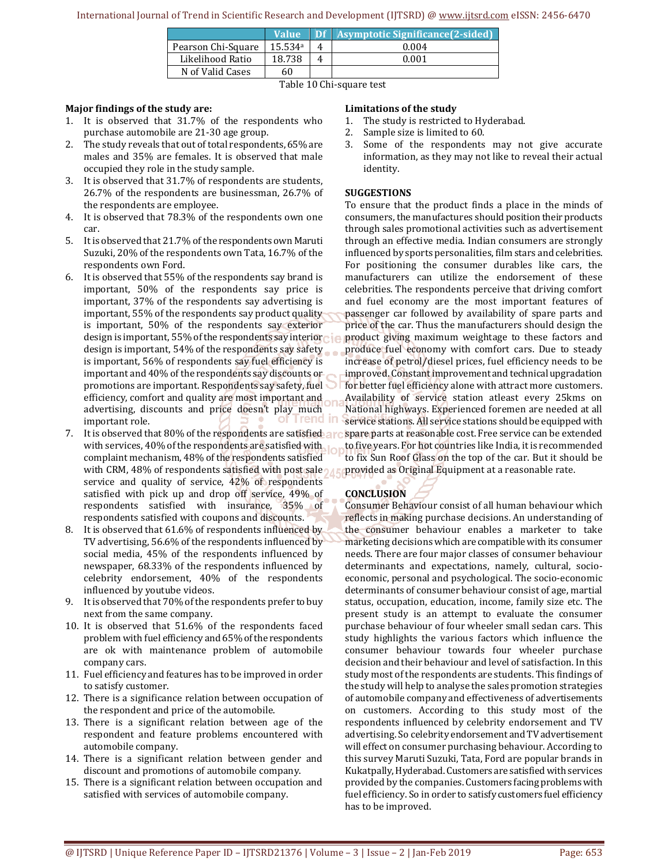|                    | <b>Value</b> |  | Df Asymptotic Significance [2-sided] |  |  |
|--------------------|--------------|--|--------------------------------------|--|--|
| Pearson Chi-Square | 15.534a      |  | 0.004                                |  |  |
| Likelihood Ratio   | 18.738       |  | 0.001                                |  |  |
| N of Valid Cases   | 60           |  |                                      |  |  |
| $m + 1$ $m + 2$    |              |  |                                      |  |  |

Table 10 Chi-square test

## **Major findings of the study are:**

- 1. It is observed that 31.7% of the respondents who purchase automobile are 21-30 age group.
- 2. The study reveals that out of total respondents, 65% are males and 35% are females. It is observed that male occupied they role in the study sample.
- 3. It is observed that 31.7% of respondents are students, 26.7% of the respondents are businessman, 26.7% of the respondents are employee.
- 4. It is observed that 78.3% of the respondents own one car.
- 5. It is observed that 21.7% of the respondents own Maruti Suzuki, 20% of the respondents own Tata, 16.7% of the respondents own Ford.
- 6. It is observed that 55% of the respondents say brand is important, 50% of the respondents say price is important, 37% of the respondents say advertising is important, 55% of the respondents say product quality is important, 50% of the respondents say exterior design is important, 55% of the respondents say interiore in design is important, 54% of the respondents say safety is important, 56% of respondents say fuel efficiency is important and 40% of the respondents say discounts or promotions are important. Respondents say safety, fuel efficiency, comfort and quality are most important and advertising, discounts and price doesn't play much of Trend in important role.
- 7. It is observed that 80% of the respondents are satisfied are with services, 40% of the respondents are satisfied with complaint mechanism, 48% of the respondents satisfied with CRM, 48% of respondents satisfied with post sale service and quality of service, 42% of respondents satisfied with pick up and drop off service, 49% of respondents satisfied with insurance, 35% of respondents satisfied with coupons and discounts.
- 8. It is observed that 61.6% of respondents influenced by TV advertising, 56.6% of the respondents influenced by social media, 45% of the respondents influenced by newspaper, 68.33% of the respondents influenced by celebrity endorsement, 40% of the respondents influenced by youtube videos.
- 9. It is observed that 70% of the respondents prefer to buy next from the same company.
- 10. It is observed that 51.6% of the respondents faced problem with fuel efficiency and 65% of the respondents are ok with maintenance problem of automobile company cars.
- 11. Fuel efficiency and features has to be improved in order to satisfy customer.
- 12. There is a significance relation between occupation of the respondent and price of the automobile.
- 13. There is a significant relation between age of the respondent and feature problems encountered with automobile company.
- 14. There is a significant relation between gender and discount and promotions of automobile company.
- 15. There is a significant relation between occupation and satisfied with services of automobile company.

#### **Limitations of the study**

- 1. The study is restricted to Hyderabad.
- 2. Sample size is limited to 60.
- 3. Some of the respondents may not give accurate information, as they may not like to reveal their actual identity.

### **SUGGESTIONS**

To ensure that the product finds a place in the minds of consumers, the manufactures should position their products through sales promotional activities such as advertisement through an effective media. Indian consumers are strongly influenced by sports personalities, film stars and celebrities. For positioning the consumer durables like cars, the manufacturers can utilize the endorsement of these celebrities. The respondents perceive that driving comfort and fuel economy are the most important features of passenger car followed by availability of spare parts and price of the car. Thus the manufacturers should design the product giving maximum weightage to these factors and produce fuel economy with comfort cars. Due to steady increase of petrol/diesel prices, fuel efficiency needs to be improved. Constant improvement and technical upgradation for better fuel efficiency alone with attract more customers. Availability of service station atleast every 25kms on National highways. Experienced foremen are needed at all service stations. All service stations should be equipped with spare parts at reasonable cost. Free service can be extended to five years. For hot countries like India, it is recommended to fix Sun Roof Glass on the top of the car. But it should be provided as Original Equipment at a reasonable rate.

## **CONCLUSION**

Consumer Behaviour consist of all human behaviour which reflects in making purchase decisions. An understanding of the consumer behaviour enables a marketer to take marketing decisions which are compatible with its consumer needs. There are four major classes of consumer behaviour determinants and expectations, namely, cultural, socioeconomic, personal and psychological. The socio-economic determinants of consumer behaviour consist of age, martial status, occupation, education, income, family size etc. The present study is an attempt to evaluate the consumer purchase behaviour of four wheeler small sedan cars. This study highlights the various factors which influence the consumer behaviour towards four wheeler purchase decision and their behaviour and level of satisfaction. In this study most of the respondents are students. This findings of the study will help to analyse the sales promotion strategies of automobile company and effectiveness of advertisements on customers. According to this study most of the respondents influenced by celebrity endorsement and TV advertising. So celebrity endorsement and TV advertisement will effect on consumer purchasing behaviour. According to this survey Maruti Suzuki, Tata, Ford are popular brands in Kukatpally, Hyderabad. Customers are satisfied with services provided by the companies. Customers facing problems with fuel efficiency. So in order to satisfy customers fuel efficiency has to be improved.